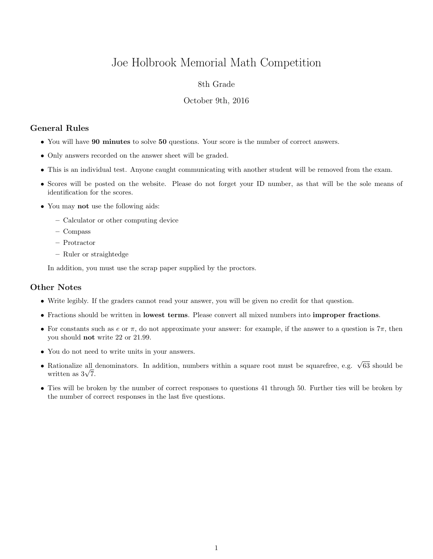# Joe Holbrook Memorial Math Competition

## 8th Grade

#### October 9th, 2016

# General Rules

- You will have 90 minutes to solve 50 questions. Your score is the number of correct answers.
- Only answers recorded on the answer sheet will be graded.
- This is an individual test. Anyone caught communicating with another student will be removed from the exam.
- Scores will be posted on the website. Please do not forget your ID number, as that will be the sole means of identification for the scores.
- You may not use the following aids:
	- Calculator or other computing device
	- Compass
	- Protractor
	- Ruler or straightedge

In addition, you must use the scrap paper supplied by the proctors.

## Other Notes

- Write legibly. If the graders cannot read your answer, you will be given no credit for that question.
- Fractions should be written in lowest terms. Please convert all mixed numbers into improper fractions.
- For constants such as e or  $\pi$ , do not approximate your answer: for example, if the answer to a question is  $7\pi$ , then you should not write 22 or 21.99.
- You do not need to write units in your answers.
- Rationalize all denominators. In addition, numbers within a square root must be squarefree, e.g.  $\sqrt{63}$  should be Rationalize all  $\frac{1}{\sqrt{7}}$ .
- Ties will be broken by the number of correct responses to questions 41 through 50. Further ties will be broken by the number of correct responses in the last five questions.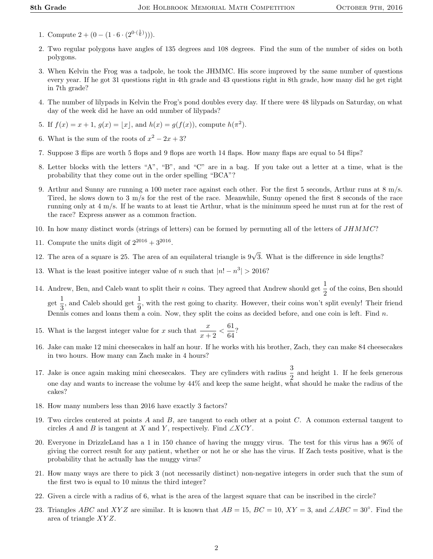- 1. Compute  $2 + (0 (1 \cdot 6 \cdot (2^{0 \cdot (\frac{1}{6})}))).$
- 2. Two regular polygons have angles of 135 degrees and 108 degrees. Find the sum of the number of sides on both polygons.
- 3. When Kelvin the Frog was a tadpole, he took the JHMMC. His score improved by the same number of questions every year. If he got 31 questions right in 4th grade and 43 questions right in 8th grade, how many did he get right in 7th grade?
- 4. The number of lilypads in Kelvin the Frog's pond doubles every day. If there were 48 lilypads on Saturday, on what day of the week did he have an odd number of lilypads?
- 5. If  $f(x) = x + 1$ ,  $g(x) = |x|$ , and  $h(x) = g(f(x))$ , compute  $h(\pi^2)$ .
- 6. What is the sum of the roots of  $x^2 2x + 3$ ?
- 7. Suppose 3 flips are worth 5 flops and 9 flops are worth 14 flaps. How many flaps are equal to 54 flips?
- 8. Letter blocks with the letters "A", "B", and "C" are in a bag. If you take out a letter at a time, what is the probability that they come out in the order spelling "BCA"?
- 9. Arthur and Sunny are running a 100 meter race against each other. For the first 5 seconds, Arthur runs at 8 m/s. Tired, he slows down to 3 m/s for the rest of the race. Meanwhile, Sunny opened the first 8 seconds of the race running only at 4 m/s. If he wants to at least tie Arthur, what is the minimum speed he must run at for the rest of the race? Express answer as a common fraction.
- 10. In how many distinct words (strings of letters) can be formed by permuting all of the letters of JHMMC?
- 11. Compute the units digit of  $2^{2016} + 3^{2016}$ .
- 12. The area of a square is 25. The area of an equilateral triangle is  $9\sqrt{3}$ . What is the difference in side lengths?
- 13. What is the least positive integer value of n such that  $|n! n^3| > 2016$ ?
- 14. Andrew, Ben, and Caleb want to split their *n* coins. They agreed that Andrew should get  $\frac{1}{2}$  of the coins, Ben should  $\frac{1}{\sqrt{2}}$  $\frac{1}{3}$ , and Caleb should get  $\frac{1}{9}$ , with the rest going to charity. However, their coins won't split evenly! Their friend Dennis comes and loans them a coin. Now, they split the coins as decided before, and one coin is left. Find  $n$ .
- 15. What is the largest integer value for x such that  $\frac{x}{x+2} < \frac{61}{64}$  $\frac{64}{64}$ ?
- 16. Jake can make 12 mini cheesecakes in half an hour. If he works with his brother, Zach, they can make 84 cheesecakes in two hours. How many can Zach make in 4 hours?
- 17. Jake is once again making mini cheesecakes. They are cylinders with radius  $\frac{3}{2}$  and height 1. If he feels generous one day and wants to increase the volume by 44% and keep the same height, what should he make the radius of the cakes?
- 18. How many numbers less than 2016 have exactly 3 factors?
- 19. Two circles centered at points A and B, are tangent to each other at a point C. A common external tangent to circles A and B is tangent at X and Y, respectively. Find  $\angle XCY$ .
- 20. Everyone in DrizzleLand has a 1 in 150 chance of having the muggy virus. The test for this virus has a 96% of giving the correct result for any patient, whether or not he or she has the virus. If Zach tests positive, what is the probability that he actually has the muggy virus?
- 21. How many ways are there to pick 3 (not necessarily distinct) non-negative integers in order such that the sum of the first two is equal to 10 minus the third integer?
- 22. Given a circle with a radius of 6, what is the area of the largest square that can be inscribed in the circle?
- 23. Triangles ABC and XYZ are similar. It is known that  $AB = 15$ ,  $BC = 10$ ,  $XY = 3$ , and  $\angle ABC = 30^\circ$ . Find the area of triangle XY Z.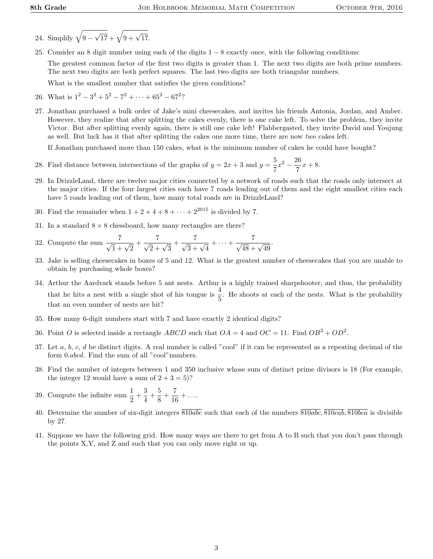- 24. Simplify  $\sqrt{9}$   $\sqrt{17} + \sqrt{9 + \sqrt{17}}$ .
- 25. Consider an 8 digit number using each of the digits 1 − 8 exactly once, with the following conditions:

The greatest common factor of the first two digits is greater than 1. The next two digits are both prime numbers. The next two digits are both perfect squares. The last two digits are both triangular numbers.

What is the smallest number that satisfies the given conditions?

- 26. What is  $1^2 3^2 + 5^2 7^2 + \cdots + 65^2 67^2$ ?
- 27. Jonathan purchased a bulk order of Jake's mini cheesecakes, and invites his friends Antonia, Jordan, and Amber. However, they realize that after splitting the cakes evenly, there is one cake left. To solve the problem, they invite Victor. But after splitting evenly again, there is still one cake left! Flabbergasted, they invite David and Youjung as well. But luck has it that after splitting the cakes one more time, there are now two cakes left.

If Jonathan purchased more than 150 cakes, what is the minimum number of cakes he could have bought?

- 28. Find distance between intersections of the graphs of  $y = 2x + 3$  and  $y = \frac{5}{5}$  $\frac{5}{7}x^2 - \frac{26}{7}$  $\frac{36}{7}x + 8.$
- 29. In DrizzleLand, there are twelve major cities connected by a network of roads such that the roads only intersect at the major cities. If the four largest cities each have 7 roads leading out of them and the eight smallest cities each have 5 roads leading out of them, how many total roads are in DrizzleLand?
- 30. Find the remainder when  $1 + 2 + 4 + 8 + \cdots + 2^{2015}$  is divided by 7.
- 31. In a standard  $8 \times 8$  chessboard, how many rectangles are there?
- 32. Compute the sum  $\frac{7}{\sqrt{1} + \sqrt{2}} + \frac{7}{\sqrt{2} + \sqrt{3}} + \frac{7}{\sqrt{3} + \sqrt{4}} + \dots + \frac{7}{\sqrt{48} + \sqrt{49}}$ .
- 33. Jake is selling cheesecakes in boxes of 5 and 12. What is the greatest number of cheesecakes that you are unable to obtain by purchasing whole boxes?
- 34. Arthur the Aardvark stands before 5 ant nests. Arthur is a highly trained sharpshooter, and thus, the probability that he hits a nest with a single shot of his tongue is  $\frac{4}{5}$ . He shoots at each of the nests. What is the probability that an even number of nests are hit?
- 35. How many 6-digit numbers start with 7 and have exactly 2 identical digits?
- 36. Point O is selected inside a rectangle ABCD such that  $OA = 4$  and  $OC = 11$ . Find  $OB^2 + OD^2$ .
- 37. Let  $a, b, c, d$  be distinct digits. A real number is called "cool" if it can be represented as a repeating decimal of the form 0.abcd. Find the sum of all "cool" numbers.
- 38. Find the number of integers between 1 and 350 inclusive whose sum of distinct prime divisors is 18 (For example, the integer 12 would have a sum of  $2 + 3 = 5$ ?
- 39. Compute the infinite sum  $\frac{1}{2} + \frac{3}{4}$  $\frac{3}{4} + \frac{5}{8}$  $\frac{5}{8} + \frac{7}{16}$  $\frac{1}{16} + \dots$
- 40. Determine the number of six-digit integers  $\overline{810abc}$  such that each of the numbers  $\overline{810abc}$ ,  $\overline{810cab}$ ,  $\overline{810bca}$  is divisible by 27.
- 41. Suppose we have the following grid. How many ways are there to get from A to B such that you don't pass through the points X,Y, and Z and such that you can only move right or up.